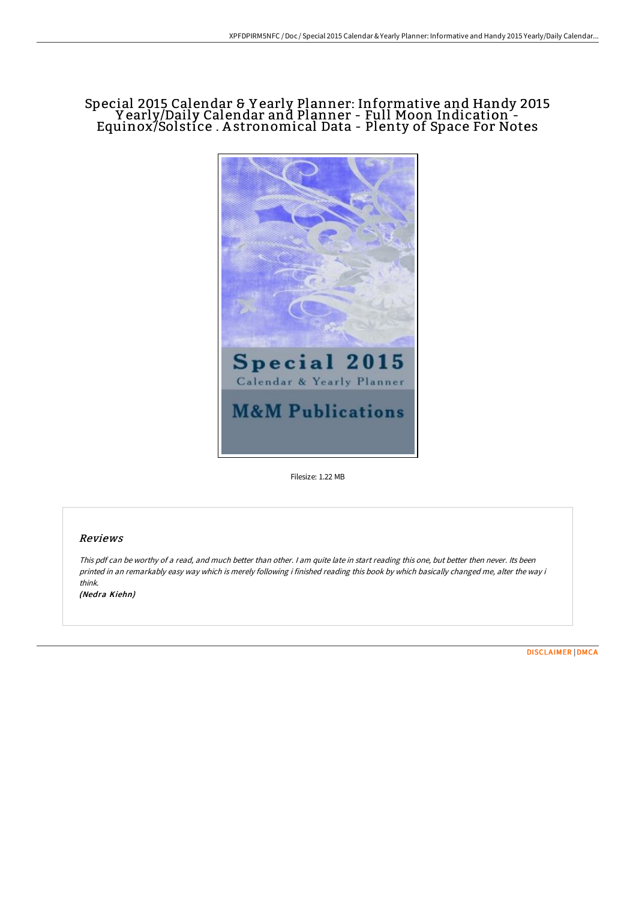# Special 2015 Calendar & Y early Planner: Informative and Handy 2015 Y early/Daily Calendar and Planner - Full Moon Indication - Equinox/Solstice . A stronomical Data - Plenty of Space For Notes



Filesize: 1.22 MB

## Reviews

This pdf can be worthy of <sup>a</sup> read, and much better than other. <sup>I</sup> am quite late in start reading this one, but better then never. Its been printed in an remarkably easy way which is merely following i finished reading this book by which basically changed me, alter the way i think. (Nedra Kiehn)

[DISCLAIMER](http://albedo.media/disclaimer.html) | [DMCA](http://albedo.media/dmca.html)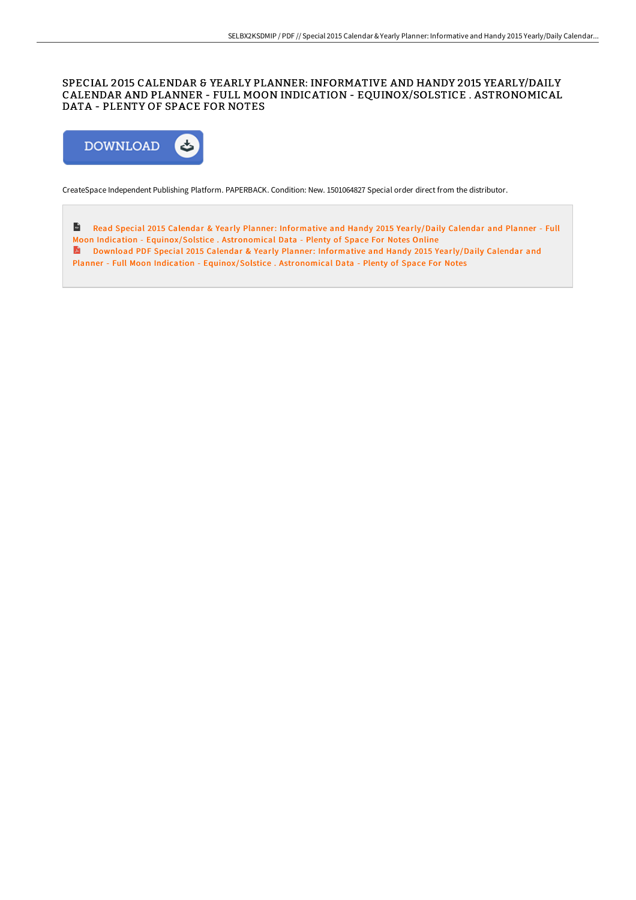# SPECIAL 2015 CALENDAR & YEARLY PLANNER: INFORMATIVE AND HANDY 2015 YEARLY/DAILY CALENDAR AND PLANNER - FULL MOON INDICATION - EQUINOX/SOLSTICE . ASTRONOMICAL DATA - PLENTY OF SPACE FOR NOTES



CreateSpace Independent Publishing Platform. PAPERBACK. Condition: New. 1501064827 Special order direct from the distributor.

 $\frac{1}{165}$ Read Special 2015 Calendar & Yearly Planner: Informative and Handy 2015 Yearly/Daily Calendar and Planner - Full Moon Indication - [Equinox/Solstice](http://albedo.media/special-2015-calendar-amp-yearly-planner-informa.html) . Astronomical Data - Plenty of Space For Notes Online Download PDF Special 2015 Calendar & Yearly Planner: Informative and Handy 2015 Yearly/Daily Calendar and

Planner - Full Moon Indication - [Equinox/Solstice](http://albedo.media/special-2015-calendar-amp-yearly-planner-informa.html) . Astronomical Data - Plenty of Space For Notes